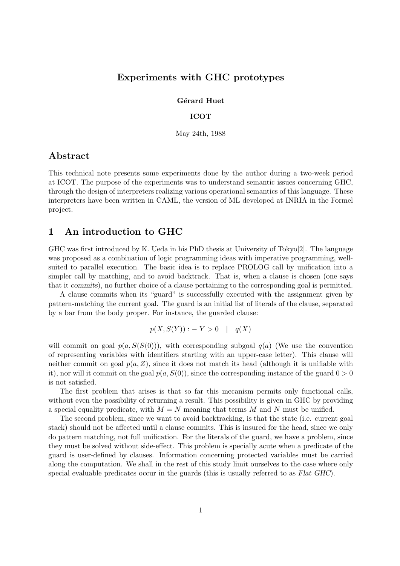# Experiments with GHC prototypes

Gérard Huet

## ICOT

May 24th, 1988

# Abstract

This technical note presents some experiments done by the author during a two-week period at ICOT. The purpose of the experiments was to understand semantic issues concerning GHC, through the design of interpreters realizing various operational semantics of this language. These interpreters have been written in CAML, the version of ML developed at INRIA in the Formel project.

# 1 An introduction to GHC

GHC was first introduced by K. Ueda in his PhD thesis at University of Tokyo<sup>[2]</sup>. The language was proposed as a combination of logic programming ideas with imperative programming, wellsuited to parallel execution. The basic idea is to replace PROLOG call by unification into a simpler call by matching, and to avoid backtrack. That is, when a clause is chosen (one says that it commits), no further choice of a clause pertaining to the corresponding goal is permitted.

A clause commits when its "guard" is successfully executed with the assignment given by pattern-matching the current goal. The guard is an initial list of literals of the clause, separated by a bar from the body proper. For instance, the guarded clause:

$$
p(X, S(Y)) : -Y > 0 \quad | \quad q(X)
$$

will commit on goal  $p(a, S(S(0)))$ , with corresponding subgoal  $q(a)$  (We use the convention of representing variables with identifiers starting with an upper-case letter). This clause will neither commit on goal  $p(a, Z)$ , since it does not match its head (although it is unifiable with it), nor will it commit on the goal  $p(a, S(0))$ , since the corresponding instance of the guard  $0 > 0$ is not satisfied.

The first problem that arises is that so far this mecanism permits only functional calls, without even the possibility of returning a result. This possibility is given in GHC by providing a special equality predicate, with  $M = N$  meaning that terms M and N must be unified.

The second problem, since we want to avoid backtracking, is that the state (i.e. current goal stack) should not be affected until a clause commits. This is insured for the head, since we only do pattern matching, not full unification. For the literals of the guard, we have a problem, since they must be solved without side-effect. This problem is specially acute when a predicate of the guard is user-defined by clauses. Information concerning protected variables must be carried along the computation. We shall in the rest of this study limit ourselves to the case where only special evaluable predicates occur in the guards (this is usually referred to as Flat GHC).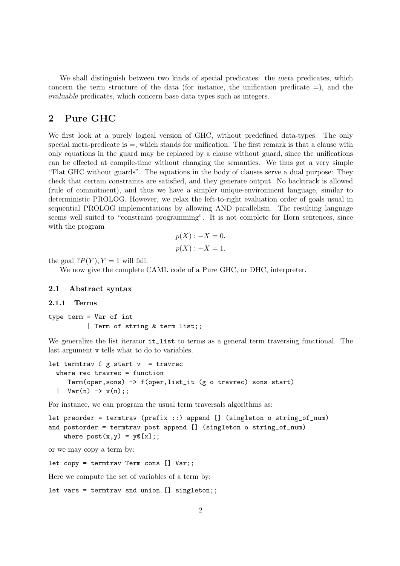We shall distinguish between two kinds of special predicates: the meta predicates, which concern the term structure of the data (for instance, the unification predicate  $=$ ), and the evaluable predicates, which concern base data types such as integers.

# 2 Pure GHC

We first look at a purely logical version of GHC, without predefined data-types. The only special meta-predicate is  $=$ , which stands for unification. The first remark is that a clause with only equations in the guard may be replaced by a clause without guard, since the unifications can be effected at compile-time without changing the semantics. We thus get a very simple "Flat GHC without guards". The equations in the body of clauses serve a dual purpose: They check that certain constraints are satisfied, and they generate output. No backtrack is allowed (rule of commitment), and thus we have a simpler unique-environment language, similar to deterministic PROLOG. However, we relax the left-to-right evaluation order of goals usual in sequential PROLOG implementations by allowing AND parallelism. The resulting language seems well suited to "constraint programming". It is not complete for Horn sentences, since with the program

$$
p(X) : -X = 0.
$$
  

$$
p(X) : -X = 1.
$$

the goal  $?P(Y)$ ,  $Y = 1$  will fail.

We now give the complete CAML code of a Pure GHC, or DHC, interpreter.

#### 2.1 Abstract syntax

#### 2.1.1 Terms

type term = Var of int | Term of string & term list;;

We generalize the list iterator  $i \tau$ <sub>-list</sub> to terms as a general term traversing functional. The last argument v tells what to do to variables.

```
let termtrav f g start v = travrec
  where rec travrec = function
     Term(oper,sons) -> f(oper,list_it (g o travrec) sons start)
  | Var(n) \rightarrow v(n);
```
For instance, we can program the usual term traversals algorithms as:

```
let preorder = termtrav (prefix ::) append [] (singleton o string_of_num)
and postorder = termtrav post append [] (singleton o string_of_num)
    where post(x,y) = y@[x];
```
or we may copy a term by:

let copy = termtrav Term cons [] Var;;

Here we compute the set of variables of a term by:

let vars = termtrav snd union [] singleton;;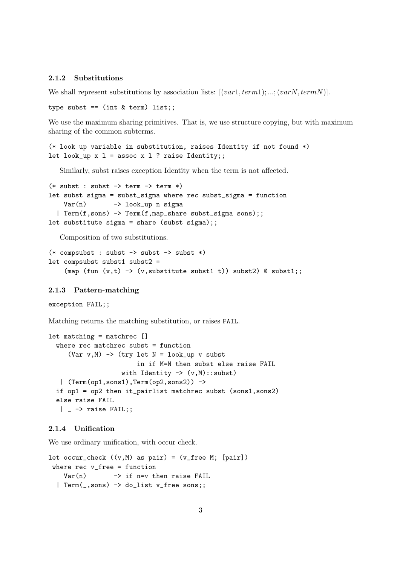# 2.1.2 Substitutions

We shall represent substitutions by association lists:  $[(var1, term1); \dots; (varN, termN)].$ 

type subst ==  $(int & term)$  list;;

We use the maximum sharing primitives. That is, we use structure copying, but with maximum sharing of the common subterms.

(\* look up variable in substitution, raises Identity if not found \*) let look\_up  $x$  l = assoc  $x$  l ? raise Identity;;

Similarly, subst raises exception Identity when the term is not affected.

```
(* subst : subst \rightarrow term \rightarrow term *)let subst sigma = subst_sigma where rec subst_sigma = function
    Var(n) -> look_up n sigma
  | Term(f,sons) -> Term(f,map_share subst_sigma sons);;
let substitute sigma = share (subst sigma);;
```
Composition of two substitutions.

```
(* compsubst : subst -> subst -> subst *)
let compsubst subst1 subst2 =
    (map (fun (v, t) \rightarrow (v, \text{substitute subset1 t})) subst2) @ subst1;;
```
#### 2.1.3 Pattern-matching

```
exception FAIL;;
```
Matching returns the matching substitution, or raises FAIL.

```
let matching = matchrec []
  where rec matchrec subst = function
     (Var v,M) \rightarrow (try let N = look_up v subst
                         in if M=N then subst else raise FAIL
                    with Identity \rightarrow (v,M): subst)
   | (Term(op1,sons1),Term(op2,sons2)) ->
  if op1 = op2 then it_pairlist matchrec subst (sons1,sons2)
  else raise FAIL
   | \rightarrow raise FAIL;;
```
# 2.1.4 Unification

We use ordinary unification, with occur check.

```
let occur_check ((v, M) as pair) = (v_{\text{free}} M; [pair])where rec v_free = function
    Var(n) -> if n=v then raise FAIL
  | Term(_,sons) -> do_list v_free sons;;
```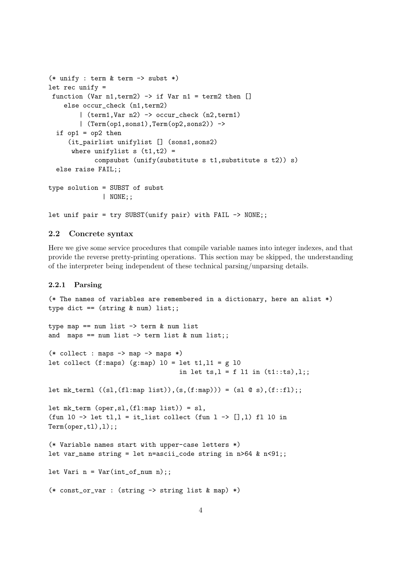```
(* unify : term & term \rightarrow subst *)let rec unify =
 function (Var n1, term2) \rightarrow if Var n1 = term2 then []
    else occur_check (n1,term2)
        | (term1,Var n2) -> occur_check (n2,term1)
        | (Term(op1,sons1),Term(op2,sons2)) ->
  if op1 = op2 then
     (it_pairlist unifylist [] (sons1,sons2)
      where unifylist s (t1,t2) =
            compsubst (unify(substitute s t1,substitute s t2)) s)
  else raise FAIL;;
type solution = SUBST of subst
              | NONE;;
let unif pair = try SUBST(unify pair) with FAIL -> NONE;;
```
## 2.2 Concrete syntax

Here we give some service procedures that compile variable names into integer indexes, and that provide the reverse pretty-printing operations. This section may be skipped, the understanding of the interpreter being independent of these technical parsing/unparsing details.

# 2.2.1 Parsing

```
(* The names of variables are remembered in a dictionary, here an alist *)
type dict == (\text{string } \& \text{num}) list;;
type map == num list \rightarrow term & num list
and maps == num list \rightarrow term list & num list;;
(* collect : maps -> map -> maps *)let collect (f:maps) (g:map) 10 = 1et t1,11 = g 10
                                      in let ts, l = f 11 in (t1::ts), l;;
let mk_terml ((s1,(f1:map list)),(s,(f:map))) = (s1 @ s), (f::f1);;
let mk_{\text{term}} (oper, sl, (f1:map\; list)) = sl,
(fun 10 \rightarrow let t1,1 = it list collect (fun 1 \rightarrow [], 1) fl 10 in
Term(oper,tl),l);;
(* Variable names start with upper-case letters *)
let var_name string = let n=ascii_code string in n > 64 & n < 91;;
let Vari n = Var(int_of_number n);;
(* const_or_var : (string -> string list & map) *)
```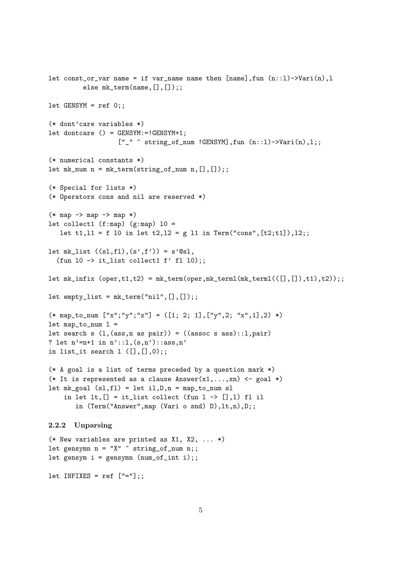```
let const_or_var name = if var_name name then [name], fun (n::l)->Vari(n), l
          else mk_term(name, [], []);;
let GENSYM = ref 0;;
(* dont'care variables *)
let dontcare () = GENSYM:=!GENSYM+1;
                    [''_\neg" ^ string_of_num !GENSYM], fun (n::1)->Vari(n),1;;
(* numerical constants *)
let mk_nnum = mk_term(string_of_num n, [],[]);;
(* Special for lists *)
(* Operators cons and nil are reserved *)
(* \text{map } -> \text{map } -> \text{map } *)let collect1 (f:map) (g:map) 10 =
   let t1, 11 = f 10 in let t2, 12 = g 11 in Term("cons", [t2; t1]), 12;;
let mk\_list ((sl,f1),(s',f')) = s'@sl,
  (fun 10 \rightarrow it list collect1 f' fl 10);;
let mk_infix (open, t1, t2) = mk_term(open, mk_terml(mk_tterml(([], []), t1), t2));;
let empty\_list = mk\_term("nil", [] , [];;
(* map_to_num [''x"; "y"; "x"] = ([1; 2; 1], ["y", 2; "x", 1], 2) *)let map_to_num 1 =let search s (1,(\text{ass},n \text{ as pair})) = ((\text{assoc } s \text{ ass})::1,\text{pair})? let n' = n + 1 in n' : : 1, (s, n') : : \text{ass}, n'in list_it search l ([],[],0);;
(* A goal is a list of terms preceded by a question mark *)
(* It is represented as a clause Answer(x1,...,xn) <- goal *)
let mk_goal (s1,f1) = let i1,D,n = map_to_numberin let lt, [] = it list collect (fun l \rightarrow [], 1) fl il
        in (Term("Answer",map (Vari o snd) D),lt,n),D;;
2.2.2 Unparsing
(* New variables are printed as X1, X2, ... *)
let gensymn n = "X" \hat{ } string_of_num n;;
let gensym i = gensymn (num_of_info i);;
let INFIXES = ref ['==1];;
```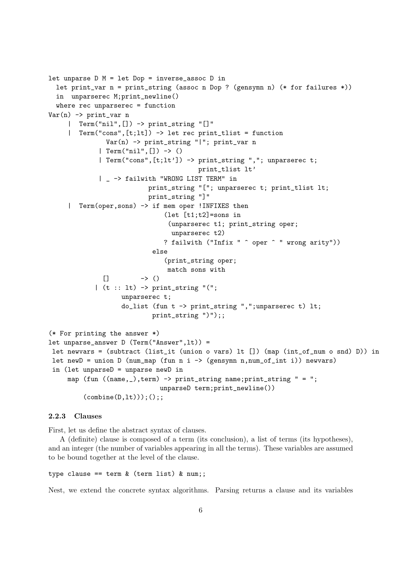```
let unparse D M = let Dop = inverse_assoc D in
  let print_var n = print_string (assoc n Dop ? (gensymn n) (* for failures *))
  in unparserec M;print_newline()
  where rec unparserec = function
Var(n) \rightarrow print_{var} n| Term("nil",[]) -> print_string "[]"
     | Term("cons",[t;lt]) -> let rec print_tlist = function
               Var(n) -> print_string "|"; print_var n
             | Term("nil",[]) -> ()
             | Term("cons",[t;lt']) -> print_string ","; unparserec t;
                                       print_tlist lt'
             | _ -> failwith "WRONG LIST TERM" in
                          print_string "["; unparserec t; print_tlist lt;
                          print_string "]"
     | Term(oper,sons) -> if mem oper !INFIXES then
                              (let [t1;t2]=sons in
                                (unparserec t1; print_string oper;
                                unparserec t2)
                              ? failwith ("Infix " ^ oper ^ " wrong arity"))
                           else
                              (print_string oper;
                               match sons with
              \lceil -> ()
            | (t :: lt) -> print_string "(";
                   unparserec t;
                   do_list (fun t -> print_string ",";unparserec t) lt;
                           print_string ")");;
(* For printing the answer *)
let unparse_answer D (Term("Answer",lt)) =
 let newvars = (subtract (list_it (union o vars) lt []) (map (int_of_num o snd) D)) in
 let newD = union D (num_map (fun n i -> (gensymn n,num_of_int i)) newvars)
 in (let unparseD = unparse newD in
    map (fun ((name, _),term) \rightarrow print_string name; print_string " = ";unparseD term; print_newline())
         (combine(D,lt));;
```
# 2.2.3 Clauses

First, let us define the abstract syntax of clauses.

A (definite) clause is composed of a term (its conclusion), a list of terms (its hypotheses), and an integer (the number of variables appearing in all the terms). These variables are assumed to be bound together at the level of the clause.

type clause == term & (term list) & num;;

Nest, we extend the concrete syntax algorithms. Parsing returns a clause and its variables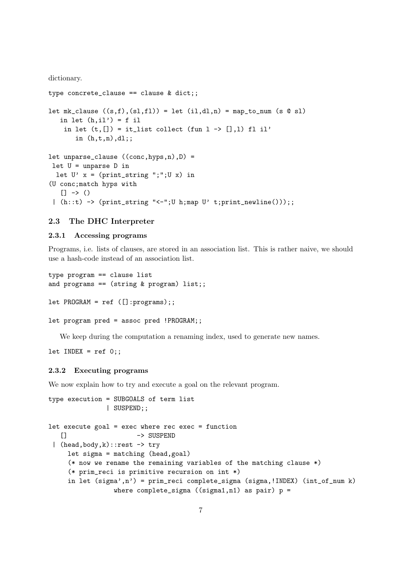dictionary.

```
type concrete_clause == clause & dict;;
let mk_clause ((s,f),(sl,fl)) = let (il,dl,n) = map_to_num (s @ sl)in let (h,il') = f il
    in let (t, [] = it_list collect (fun l \rightarrow [],1) fl il'
       in (h,t,n),dl;;
let unparse_clause ((conc,hyps,n),D) =
 let U = unparse D in
  let U' x = (print_string ";";U x) in
(U conc;match hyps with
   [] -> ()| (h::t) -> (print{\_}string "<-";U h;map U' t;print_newline());;
```
# 2.3 The DHC Interpreter

## 2.3.1 Accessing programs

Programs, i.e. lists of clauses, are stored in an association list. This is rather naive, we should use a hash-code instead of an association list.

```
type program == clause list
and programs == (string k program) list;;
let PROGRAM = ref ([]:programs);;
let program pred = assoc pred !PROGRAM;;
```
We keep during the computation a renaming index, used to generate new names.

```
let INDEX = ref 0;;
```
# 2.3.2 Executing programs

We now explain how to try and execute a goal on the relevant program.

```
type execution = SUBGOALS of term list
              | SUSPEND;;
let execute goal = exec where rec exec = function
   [] -> SUSPEND
 | (head,body,k)::rest -> try
    let sigma = matching (head,goal)
    (* now we rename the remaining variables of the matching clause *)
    (* prim_reci is primitive recursion on int *)
    in let (sigma',n') = prim_reci complete_sigma (sigma,!INDEX) (int_of_num k)
                where complete_sigma ((signal,n1) as pair) p =
```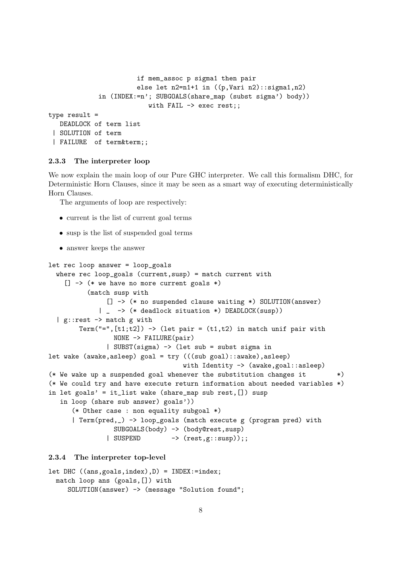```
if mem_assoc p sigma1 then pair
                       else let n2=n1+1 in ((p,Vari n2)::sigma1,n2)
             in (INDEX:=n'; SUBGOALS(share_map (subst sigma') body))
                          with FAIL -> exec rest;;
type result =
  DEADLOCK of term list
 | SOLUTION of term
 | FAILURE of term&term;;
```
#### 2.3.3 The interpreter loop

We now explain the main loop of our Pure GHC interpreter. We call this formalism DHC, for Deterministic Horn Clauses, since it may be seen as a smart way of executing deterministically Horn Clauses.

The arguments of loop are respectively:

- current is the list of current goal terms
- susp is the list of suspended goal terms
- answer keeps the answer

```
let rec loop answer = loop_goals
 where rec loop_goals (current,susp) = match current with
    [] \rightarrow (* we have no more current goals *)
          (match susp with
               [] -> (* no suspended clause waiting *) SOLUTION(answer)
             | _ -> (* deadlock situation *) DEADLOCK(susp))
  | g::rest -> match g with
        Term("=",[t1;t2]) -> (let pair = (t1,t2) in match unif pair with
                 NONE -> FAILURE(pair)
               | SUBST(sigma) -> (let sub = subst sigma in
let wake (awake,asleep) goal = try (((sub goal)::awake),asleep)
                                   with Identity -> (awake, goal: : asleep)
(* We wake up a suspended goal whenever the substitution changes it *)
(* We could try and have execute return information about needed variables *)
in let goals' = it_list wake (share_map sub rest,[]) susp
   in loop (share sub answer) goals'))
      (* Other case : non equality subgoal *)
      | Term(pred,_) -> loop_goals (match execute g (program pred) with
                 SUBGOALS(body) -> (body@rest,susp)
               | SUSPEND -> (rest,g::susp));;
```
## 2.3.4 The interpreter top-level

```
let DHC ((ans,goals,index),D) = INDEX:=index;
 match loop ans (goals,[]) with
     SOLUTION(answer) -> (message "Solution found";
```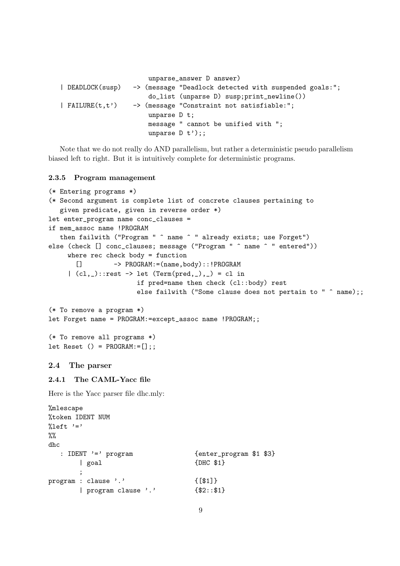```
unparse_answer D answer)
| DEADLOCK(susp) -> (message "Deadlock detected with suspended goals:";
                      do_list (unparse D) susp;print_newline())
| FAILURE(t,t') -> (message "Constraint not satisfiable:";
                      unparse D t;
                      message " cannot be unified with ";
                      unparse D t');;
```
Note that we do not really do AND parallelism, but rather a deterministic pseudo parallelism biased left to right. But it is intuitively complete for deterministic programs.

#### 2.3.5 Program management

```
(* Entering programs *)
(* Second argument is complete list of concrete clauses pertaining to
   given predicate, given in reverse order *)
let enter_program name conc_clauses =
if mem_assoc name !PROGRAM
   then failwith ("Program " ^ name ^ " already exists; use Forget")
else (check [] conc_clauses; message ("Program " ^ name ^ " entered"))
     where rec check body = function
       [] -> PROGRAM:=(name,body)::!PROGRAM
     | (c1, _{-})::rest \rightarrow let (Term(pred, _), _) = cl in
                       if pred=name then check (cl::body) rest
                       else failwith ("Some clause does not pertain to " \hat{ } name);;
(* To remove a program *)
let Forget name = PROGRAM:=except_assoc name !PROGRAM;;
(* To remove all programs *)
let Reset () = PROGRAM := [];;
2.4 The parser
```
# 2.4.1 The CAML-Yacc file

Here is the Yacc parser file dhc.mly:

```
%mlescape
%token IDENT NUM
%left' \leftarrow ' = '\frac{9}{2}dhc
  : IDENT '=' program {enter_program $1 $3}
      | goal {DHC} $1}
      ;
program : clause '.' {[$1]}
      | program clause '.' {$2::$1}
```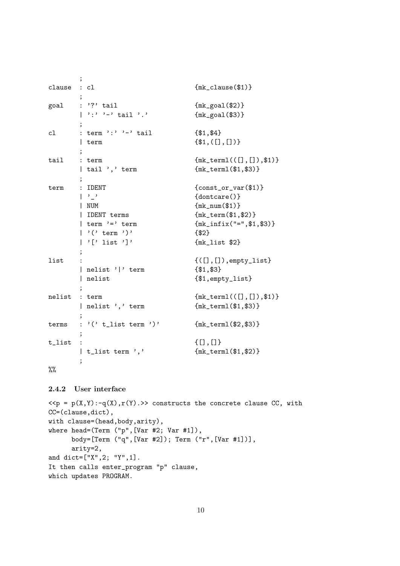```
;
{\small \begin{array}{l} {\rm{cl} \,\,} \\[-8pt] {\rm{cl} \,\,} \\[-8pt] \end{array} } \qquad {\rm{cl}} \qquad \qquad \{ {\rm{mk\_cl} \, \rm{use}} \, (\$1)\};
goal : '?' tail {mk\_goal ($2)}| ':' '-' tail '.' {mk\_goal($3)};
cl : term ':' '-' tail \{ $1, $4\}| term {\{\$1,([\]},[]\})\};
tail : term {mk_c \, term} {mk_c \, term} {(\n[], [\n], [\n], \$1)}| tail ',' term {mk_terml($1,$3)}
      ;
term : IDENT {conv} {const_or_var($1)}
      \vert '_' \vert {dontcare()}
      | NUM {mk_num($1)}
      | IDENT terms {mk_term($1,$2)}
      | term '=' term {mk_infix("=",$1,$3)}
      | '(' term ')' \{ $2\}| '[' list ']' {mk\_list \$2};
list : {(([] , []), \text{empty\_list}}| nelist '|' term {$1,$3}
      | nelist { $1, \text{empty}_1$ is };
nelist : term {mk\_terml(([], []), $1)}| nelist ',' term {mk_terml($1,$3)}
      ;
terms : '(' t_list term ')' {mk_terml($2,$3)}
      ;
t_list : {[}, []]| t_list term ',' {mk_terml($1,$2)}
      ;
```
 $\%$ 

# 2.4.2 User interface

```
\langle p(x,y) \rangle := q(x), r(y) \rangle constructs the concrete clause CC, with
CC=(clause,dict),
with clause=(head,body,arity),
where head=(Term ("p",[Var #2; Var #1]),
      body=[Term ("q",[Var #2]); Term ("r",[Var #1])],
      arity=2,
and dict=["X",2; "Y",1].
It then calls enter_program "p" clause,
which updates PROGRAM.
```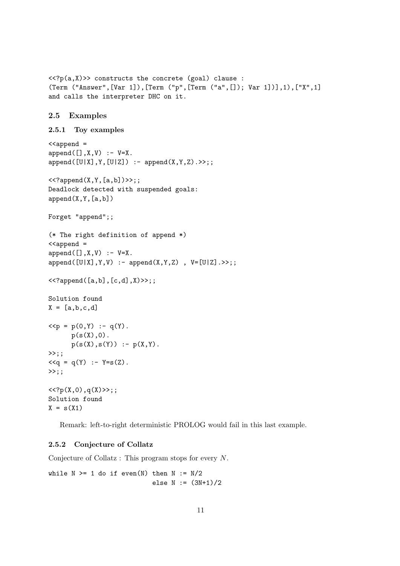```
\langle \langle ?p(a,X) \rangle constructs the concrete (goal) clause :
(Term ("Answer",[Var 1]),[Term ("p",[Term ("a",[]); Var 1])],1),["X",1]
and calls the interpreter DHC on it.
2.5 Examples
2.5.1 Toy examples
\langle < append =
append([], X, V) :- V=X.append([U|X],Y,[U|Z]) :- append(X,Y,Z).>>;;\langle <?append(X, Y, [a, b]) > >;;
Deadlock detected with suspended goals:
append(X,Y,[a,b])Forget "append";;
(* The right definition of append *)
<<append =
append([], X, V) :- V=X.append([U|X],Y,V) :- append(X,Y,Z) , V=[U|Z].>>;;
<<?append([a,b],[c,d],X)>>;;
Solution found
X = [a, b, c, d]\langle p = p(0, Y) : - q(Y).
      p(s(X),0).
      p(s(X),s(Y)) := p(X,Y).
\gg;;
<<q = q(Y) :- Y=s(Z).\gg;;
\langle \langle P_p(X,0), q(X) \rangle \rangle;;
Solution found
X = s(X1)
```
Remark: left-to-right deterministic PROLOG would fail in this last example.

# 2.5.2 Conjecture of Collatz

Conjecture of Collatz : This program stops for every N.

while  $N \geq 1$  do if even(N) then  $N := N/2$ else  $N := (3N+1)/2$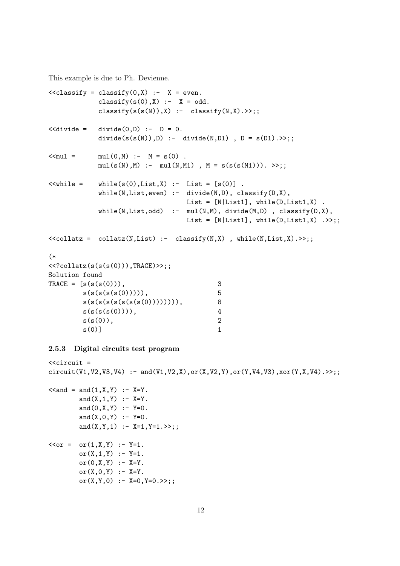This example is due to Ph. Devienne.

```
\langle < classify = classify(0,X) :- X = even.
           classify(s(0),X) :- X = odd.
           classify(s(s(N)),X) :- classify(N,X).>>;;
\leq < divide = divide(0, D) :- D = 0.
          divide(s(s(N)), D) :- divide(N, D1), D = s(D1). >>;;
\le mul(0,M) :- M = s(0).
          mul(s(N), M) :- mul(N, M1), M = s(s(s(M1))). >>;;
\lewhile = while(s(0),List,X) :- List = [s(0)].
          while(N,List,even) :- divide(N,D), classify(D,X),List = [N|List1], while(D,List1,X).
           while(N,List,odd) :- mul(N,M), divide(M,D), classify(D,X),List = [N|List1], while(D,List1,X) .>>;;
<<collatz = collatz(N,List) :- classify(N,X), while(N,List,X).>>;;
(*
\langle <?collatz(s(s(0))), TRACE)>>;;
Solution found
TRACE = [s(s(s(0)))), 3
       s(s(s(s(0)))), 5
       s(s(s(s(s(s(0))))))), 8
       s(s(s(s(0)))), 4
       s(s(0)), 2
       s(0)] 1
```
## 2.5.3 Digital circuits test program

```
\lecircuit =
circuit(V1,V2,V3,V4) :- and(V1,V2,X),or(X,V2,Y),or(Y,V4,V3),xor(Y,X,V4).>>;;
\le and = and (1, X, Y) : - X=Y.
         and(X, 1, Y) : - X=Y.
         and(0,X,Y) :- Y=0.
         and(X, 0, Y) :- Y=0.
         and(X,Y,1) :- X=1, Y=1.>>;;
\langle \text{cor} = \text{or}(1, X, Y) : Y = 1.or(X, 1, Y) :- Y=1.
         or(0, X, Y) :- X = Y.
         or(X, 0, Y) :- X = Y.
         or(X, Y, 0) : - X=0, Y=0. >>;;
```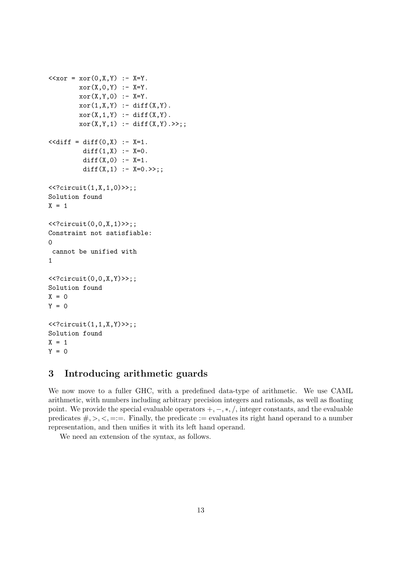```
\langle x \circ r = x \circ r(0, X, Y) : X = Y.xor(X, 0, Y) :- X=Y.xor(X, Y, 0) :- X=Y.xor(1,X,Y) :- diff(X,Y).
         xor(X,1,Y) := diff(X,Y).
         xor(X, Y, 1) :- diff(X, Y). >>;<<diff = diff(0,X) :- X=1.diff(1,X) :- X=0.
          diff(X,0) :- X=1.
          diff(X,1) :- X=0.>>;;
\langle?circuit(1,X,1,0)>>;;
Solution found
X = 1\langle <? circuit(0,0,X,1)>>;;
Constraint not satisfiable:
\Omegacannot be unified with
1
\langle?circuit(0,0,X,Y) \rangle;;
Solution found
X = 0Y = 0\langle <?circuit(1,1,X,Y) \rangle;;
Solution found
X = 1Y = 0
```
# 3 Introducing arithmetic guards

We now move to a fuller GHC, with a predefined data-type of arithmetic. We use CAML arithmetic, with numbers including arbitrary precision integers and rationals, as well as floating point. We provide the special evaluable operators  $+, -, *, /$ , integer constants, and the evaluable predicates  $\#, \gt, \lt, =:=$ . Finally, the predicate := evaluates its right hand operand to a number representation, and then unifies it with its left hand operand.

We need an extension of the syntax, as follows.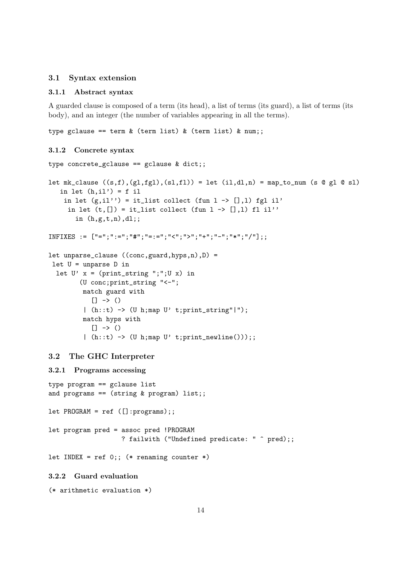# 3.1 Syntax extension

## 3.1.1 Abstract syntax

A guarded clause is composed of a term (its head), a list of terms (its guard), a list of terms (its body), and an integer (the number of variables appearing in all the terms).

type gclause == term  $k$  (term list)  $k$  (term list)  $k$  num;;

#### 3.1.2 Concrete syntax

```
type concrete_gclause == gclause & dict;;
let mk_clause ((s,f),(g1,fg1),(s1,f1)) = let (i1,d1,n) = map_to_number (s @ gl @ sl)in let (h,il') = f il
    in let (g,i1'') = it_list collect (fun l \rightarrow [],l) fgl il'
     in let (t, [] = it_list collect (fun l \rightarrow [],1) fl il''
       in (h,g,t,n),dl;;
INFIXES := ["=";":=";"#";"=:=";"<";">";"+";"-";"*";"/"];;
let unparse_clause ((conc,guard,hyps,n),D) =
let U = unparse D in
  let U' x = (print_string ";";U x) in
        (U conc;print_string "<-";
         match guard with
           [] -> ()| (h::t) -> (U h;map U' t;print_string"|");
         match hyps with
           [1 -> ()| (h::t) -> (U h;map U' t;print_newline()));;
3.2 The GHC Interpreter
3.2.1 Programs accessing
type program == gclause list
and programs == (string & program) list;;
let PROGRAM = ref ([]:programs);;
let program pred = assoc pred !PROGRAM
                   ? failwith ("Undefined predicate: " \hat{ } pred);;
let INDEX = ref 0;; (* renaming counter *)
```
# 3.2.2 Guard evaluation

```
(* arithmetic evaluation *)
```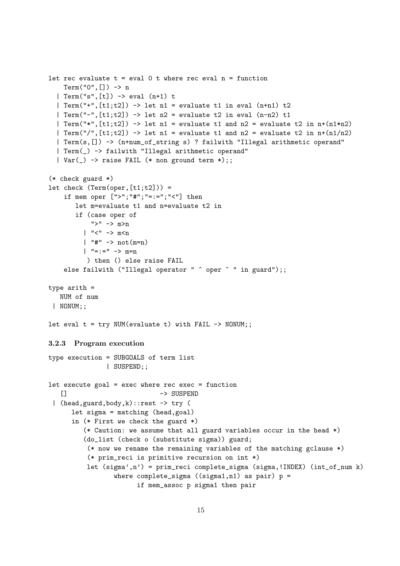```
let rec evaluate t = eval 0 t where rec eval n = functionTerm("0", []) \rightarrow n
  | Term("s",[t]) -> eval (n+1) t
  | Term("+",[t1;t2]) -> let n1 = evaluate t1 in eval (n+n1) t2
  | Term("-",[t1;t2]) -> let n2 = evaluate t2 in eval (n-n2) t1
  | Term("*",[t1;t2]) -> let n1 = evaluate t1 and n2 = evaluate t2 in n+(n1*n2)| Term("/",[t1;t2]) -> let n1 = evaluate t1 and n2 = evaluate t2 in n+(n1/n2)| Term(s,[]) -> (n+num_of_string s) ? failwith "Illegal arithmetic operand"
  | Term(_) -> failwith "Illegal arithmetic operand"
  | Var(\ ) \rightarrow raise FAIL (* non ground term *);;
(* check guard *)
let check (Term(oper, [t1;t2])) =if mem oper [">";"#";"=:=";"<"] then
       let m=evaluate t1 and n=evaluate t2 in
       if (case oper of
           ">" -> m>n
         | "\lt" \to m\ltn
         | "#" -> not(m=n)
         | " == := " -> m = n) then () else raise FAIL
    else failwith ("Illegal operator " \hat{ } oper \hat{ } " in guard");;
type arith =
  NUM of num
 | NONUM;;
let eval t = try NUM(evaluate t) with FAIL -> NONUM;;
3.2.3 Program execution
type execution = SUBGOALS of term list
               | SUSPEND;;
let execute goal = exec where rec exec = function
   [] -> SUSPEND
 | (head, guard, body, k): : rest \rightarrow try (
      let sigma = matching (head,goal)
      in (* First we check the guard *)
         (* Caution: we assume that all guard variables occur in the head *)
         (do_list (check o (substitute sigma)) guard;
          (* now we rename the remaining variables of the matching gclause *)
          (* prim_reci is primitive recursion on int *)
          let (sigma',n') = prim_reci complete_sigma (sigma,!INDEX) (int_of_num k)
                 where complete_sigma ((signal,n1) as pair) p =if mem_assoc p sigma1 then pair
```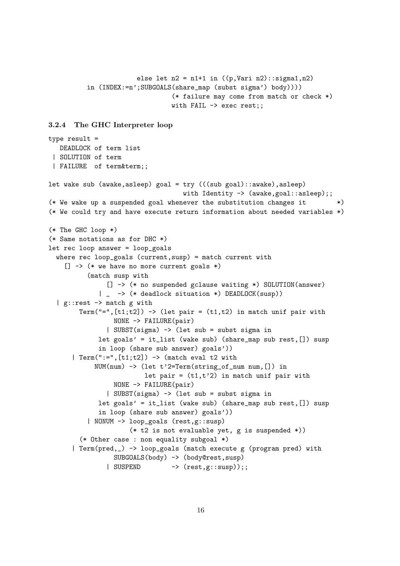```
else let n2 = n1+1 in ((p, \text{Vari } n2) : \text{signal}, n2)in (INDEX:=n';SUBGOALS(share_map (subst sigma') body))))
                        (* failure may come from match or check *)
                        with FAIL -> exec rest;;
```
#### 3.2.4 The GHC Interpreter loop

```
type result =
  DEADLOCK of term list
 | SOLUTION of term
 | FAILURE of term&term;;
let wake sub (awake,asleep) goal = try (((sub goal)::awake),asleep)
                                   with Identity -> (awake, goal::asleep);;
(* We wake up a suspended goal whenever the substitution changes it *)
(* We could try and have execute return information about needed variables *)
(* The GHC loop *)
(* Same notations as for DHC *)
let rec loop answer = loop_goals
  where rec loop_goals (current, susp) = match current with
    [] -> (* we have no more current goals *)
          (match susp with
               [] -> (* no suspended gclause waiting *) SOLUTION(answer)
             | _ -> (* deadlock situation *) DEADLOCK(susp))
  | g::rest \rightarrow match g with
        Term("=",[t1;t2]) -> (let pair = (t1,t2) in match unif pair with
                 NONE -> FAILURE(pair)
               | SUBST(sigma) -> (let sub = subst sigma in
             let goals' = it_list (wake sub) (share_map sub rest,[]) susp
             in loop (share sub answer) goals'))
      | Term(":=", [t1;t2]) \rightarrow (match eval t2 withNUM(num) -> (let t'2=Term(string_of_num num,[]) in
                         let pair = (t1,t') in match unif pair with
                 NONE -> FAILURE(pair)
               | SUBST(sigma) -> (let sub = subst sigma in
             let goals' = it_list (wake sub) (share_map sub rest, []) susp
             in loop (share sub answer) goals'))
          | NONUM -> loop_goals (rest,g::susp)
                     (* t2 is not evaluable yet, g is suspended *))
        (* Other case : non equality subgoal *)
      | Term(pred,_) -> loop_goals (match execute g (program pred) with
                 SUBGOALS(body) -> (body@rest,susp)
               | SUSPEND -> (rest,g::susp));;
```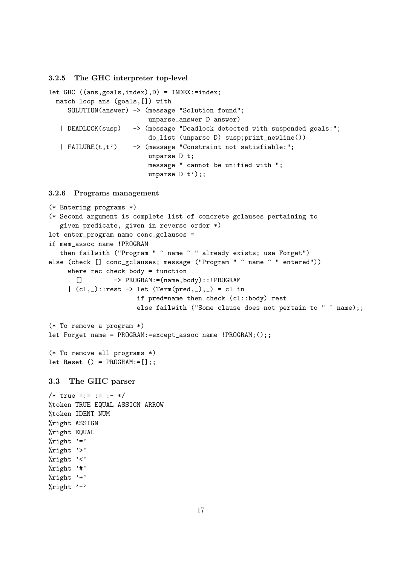3.2.5 The GHC interpreter top-level

```
let GHC ((ans,goals,index),D) = INDEX:=index;
 match loop ans (goals,[]) with
    SOLUTION(answer) -> (message "Solution found";
                          unparse_answer D answer)
   | DEADLOCK(susp) -> (message "Deadlock detected with suspended goals:";
                          do_list (unparse D) susp;print_newline())
   | FAILURE(t,t') -> (message "Constraint not satisfiable:";
                          unparse D t;
                          message " cannot be unified with ";
                          unparse D t');;
```
3.2.6 Programs management

```
(* Entering programs *)
(* Second argument is complete list of concrete gclauses pertaining to
   given predicate, given in reverse order *)
let enter_program name conc_gclauses =
if mem_assoc name !PROGRAM
   then failwith ("Program " ^ name ^ " already exists; use Forget")
else (check [] conc_gclauses; message ("Program " ^ name ^ " entered"))
     where rec check body = function
       [] -> PROGRAM:=(name,body)::!PROGRAM
     | (cl,_)::rest -> let (Term(pred,_),_) = cl in
                        if pred=name then check (cl::body) rest
                        else failwith ("Some clause does not pertain to " ^ name);;
(* To remove a program *)
let Forget name = PROGRAM:=except_assoc name !PROGRAM;();;
(* To remove all programs *)
let Reset () = PROGRAM := [];;
3.3 The GHC parser
/* true =:= := :- */
%token TRUE EQUAL ASSIGN ARROW
%token IDENT NUM
%right ASSIGN
%right EQUAL
\sqrt[9]{right} '='
\frac{1}{2} right '>'
\sqrt[6]{right} '<'
\sqrt[9]{right} '#'
\sqrt[n]{right} '+'
\sqrt[n]{right} '-'
```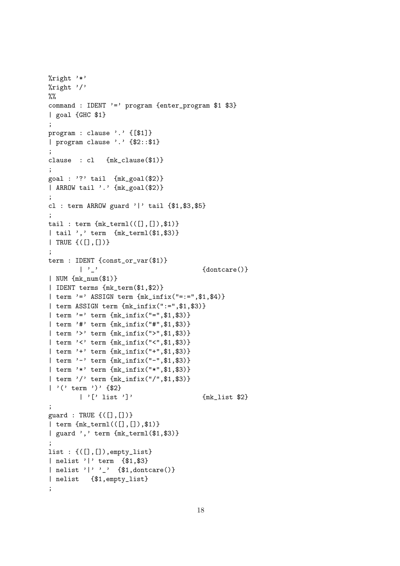```
%right '*'
\frac{1}{2}right '/'
\%%
command : IDENT '=' program {enter_program $1 $3}
| goal {GHC $1}
;
program : clause '.' {[$1]}
| program clause '.' {$2::$1}
;
clause : cl {mk_clause($1)}
;
goal : '?' tail {mk_goal($2)}
| ARROW tail '.' {mk_goal($2)}
;
cl : term ARROW guard '|' tail {$1,$3,$5}
;
tail : term {mk\_term}(([], []), $1)}
| tail ',' term {mk_terml($1,$3)}
| TRUE {([],[])}
;
term : IDENT {const_or_var($1)}
        |, |, |, || NUM {mk_num($1)}
| IDENT terms {mk_term($1,$2)}
| term '=' ASSIGN term {mk_infix("=:=",$1,$4)}
| term ASSIGN term {mk_infix(":=",$1,$3)}
| term '=' term {mk_infix("=",$1,$3)}
| term '#' term {mk_infix("#",$1,$3)}
| term '>' term {mk_infix(">",$1,$3)}
| term '<' term {mk_infix("<",$1,$3)}
| term '+' term {mk_infix("+",$1,$3)}
| term '-' term {mk_infix("-",$1,$3)}
| term '*' term {mk_infix("*",$1,$3)}
| term '/' term {mk_infix("/",$1,$3)}
| '(' term ')' {$2}
        \vert '[' list ']' \{mk\_list \$2}
;
guard : TRUE \{([], [])\}| term {mk_terml(([],[]),$1)}
| guard ',' term {mk_terml($1,$3)}
;
list : {([],[]), empty_list}
| nelist '|' term {$1,$3}
| nelist '|' '_' {$1,dontcare()}
| nelist {$1,empty_list}
;
```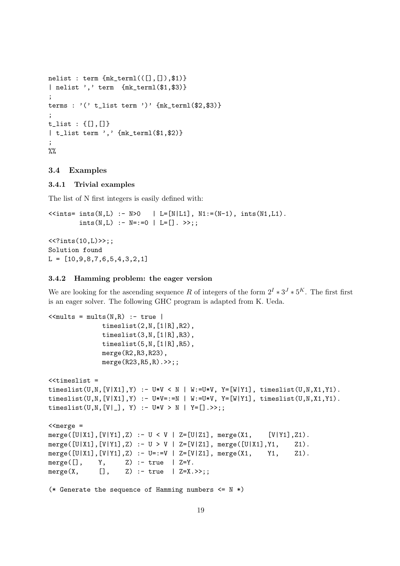```
nelist : term {mk\_term}(([], []), $1)}
| nelist ',' term {mk_terml($1,$3)}
;
terms : '( t_list term ')' {mk_terml($2,$3)}
;
t_list : {[],[]}
| t_list term ',' {mk_terml($1,$2)}
;
\frac{9}{2}
```
### 3.4 Examples

# 3.4.1 Trivial examples

The list of N first integers is easily defined with:

```
\leints= ints(N,L) :- N>0 | L=[N|L1], N1:=(N-1), ints(N1,L1).
         ints(N,L) :- N = := 0 | L = []. >>;;
\langle <? ints(10, L) >>;;
Solution found
L = [10, 9, 8, 7, 6, 5, 4, 3, 2, 1]
```
# 3.4.2 Hamming problem: the eager version

We are looking for the ascending sequence R of integers of the form  $2^I * 3^J * 5^K$ . The first first is an eager solver. The following GHC program is adapted from K. Ueda.

```
\lemults = mults(N,R) :- true |
             timeslist(2,N,[1|R],R2),
             timeslist(3,N,[1|R],R3),
             timeslist(5,N,[1|R],R5),
             merge(R2,R3,R23),
             merge(R23,R5,R).>>;;
< timeslist =
timeslist(U,N,[V|X1],Y) :- U*V < N | W:=U*V, Y=[W|Y1], timeslist(U,N,X1,Y1).
timeslist(U,N,[V|X1],Y) :- U*V=:=N | W:=U*V, Y=[W|Y1], timeslist(U,N,X1,Y1).
timeslist(U,N,[V|_], Y) :- U*V > N | Y=[].>>;;
<merge =
merge([U|X1],[V|Y1],Z) :- U < V | Z=[U|Z1], merge(X1, [V|Y1],Z1).
merge([U|X1], [V|Y1], Z) :- U > V | Z=[V|Z1], merge([U|X1], Y1, Z1).merge([U|X1],[V|Y1],Z) :- U=:=V | Z=[V|Z1], merge(X1, Y1, Z1).
merge([], Y, Z) :- true | Z = Y.
merge(X, [], Z) :- true | Z=X.>>;;
```

```
(* Generate the sequence of Hamming numbers \leq N *)
```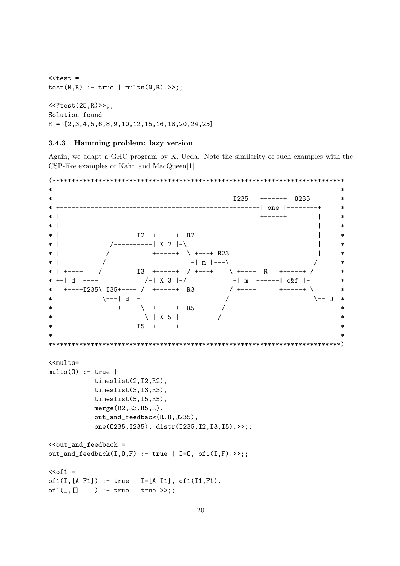```
<test =
test(N,R) :- true | mults(N,R).>>;;
<<?test(25,R)>>;;
Solution found
R = [2,3,4,5,6,8,9,10,12,15,16,18,20,24,25]
```
# 3.4.3 Hamming problem: lazy version

Again, we adapt a GHC program by K. Ueda. Note the similarity of such examples with the CSP-like examples of Kahn and MacQueen[1].

```
(****************************************************************************
* *
                                 1235 +-----+ 0235
                                ----------| one |---------+
* | +-----+ | *
* | *\begin{array}{ccc} \text{I2} & \text{+} \text{-} \text{-} \text{-} \text{+} & \text{R2} \\ \end{array}* | /----------| X 2 |-\ | *
* | / +-----+ \ +---+ R23 |
                  -| m | ---\* | +---+ / I3 +-----+ / +---+ \ +---+ R +-----+ / *
* +-| d |---- /-| X 3 |-/ -| m |------| o&f |- *
* +---+I235\ I35+---+ / +-----+ R3 / +---+ +-----+ \ *
* \---| d |- / \-- O *
* +---+ \ +-----+ R5 / *
* \-| X 5 |----------/ *
               I5 +-----+
*****************************************************************************)
<mults=mults(0) :- true |
        timeslist(2,I2,R2),
        timeslist(3,I3,R3),
        timeslist(5,I5,R5),
        merge(R2,R3,R5,R),
        out_and_feedback(R,O,O235),
        one(O235,I235), distr(I235,I2,I3,I5).>>;;
\text{\tt <<out\_and\_feedback} =
out_and_feedback(I, 0, F) :- true | I=0, of1(I, F).>>;;
<<of1 =
of1(I,[A|F1]) :- true | I=[A|I1], of1(I1,F1).
of1(, [] ) :- true | true. >>;;
```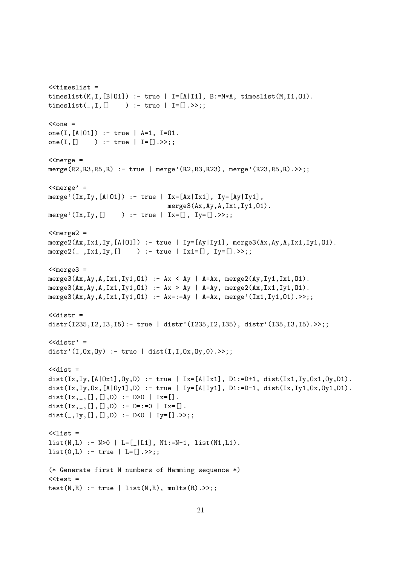```
< timeslist =
timeslist(M,I,[B|01]) :- true | I=[A|I1], B:=M*A, timeslist(M,I1,01).
timeslist([-, I, [] ) : true | I=[].>>;;
<cone =
one(I,[A|O1]) :- true | A=1, I=O1.
one(I,[] ) :- true | I=[].>>;;
<merge =
merge(R2,R3,R5,R) :- true | merge'(R2,R3,R23), merge'(R23,R5,R).>>;;
<merge' =
merge'(Ix,Iy,[A|01]) :- true | Ix=[Ax|1x1], Iy=[Ay|1y1],
                               merge3(Ax,Ay,A,Ix1,Iy1,O1).
merge'(Ix,Iy,[] ) :- true | Ix=[], Iy=[].>>;;
<merge2 =
merge2(Ax,Ix1,Iy,[A|O1]) :- true | Iy=[Ay|Iy1], merge3(Ax,Ay,A,Ix1,Iy1,O1).
merge2(_,Ix1,Iy,[] ) :- true | Ix1=[], Iy=[].>>;;
<merge3 =
merge3(Ax,Ay,A,Ix1,Iy1,O1) :- Ax < Ay | A=Ax, merge2(Ay,Iy1,Ix1,O1).
merge3(Ax,Ay,A,Ix1,Iy1,O1) :- Ax > Ay | A=Ay, merge2(Ax,Ix1,Iy1,O1).
merge3(Ax,Ay,A,Ix1,Iy1,O1) :- Ax=:=Ay | A=Ax, merge'(Ix1,Iy1,O1).>>;;
<<distr =
distr(I235,I2,I3,I5):- true | distr'(I235,I2,I35), distr'(I35,I3,I5).>>;;
<<distr' =
distr'(I,Ox,Oy) :- true | dist(I,I,Ox,Oy,O).>>;;
<<dist =
dist(Ix,Iy,[A|0x1], 0y, D) :- true | Ix=[A|1x1], D1:=D+1, dist(Ix1,Iy,0x1, 0y, D1).
dist(Ix, Iy, Ox, [A|Oy1], D) :- true | Iy=[A|Iy1], D1:=D-1, dist(Ix, Iy1, Ox, Oy1, D1).
dist(Ix, _, [], [], D) :- D>0 | Ix=[].
dist(Ix, _, [], [], D) :- D=:=0 | Ix=[].
dist(I, I, [], [], []) :- D<0 | Iy=[]. >;;
\langlelist =
list(N, L) :- N>0 | L=[L1], N1:=N-1, list(N1, L1).list(0, L) :- true | L=[].>>;;
(* Generate first N numbers of Hamming sequence *)
<test =
test(N,R) :- true | list(N,R), mults(R).>>;;
```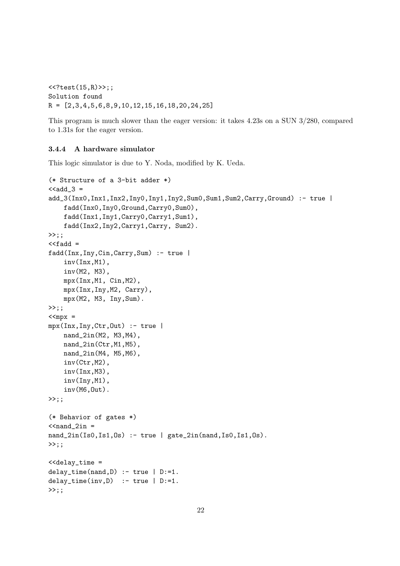```
<<?test(15,R)>>;;
Solution found
R = [2,3,4,5,6,8,9,10,12,15,16,18,20,24,25]
```
This program is much slower than the eager version: it takes 4.23s on a SUN 3/280, compared to 1.31s for the eager version.

# 3.4.4 A hardware simulator

This logic simulator is due to Y. Noda, modified by K. Ueda.

```
(* Structure of a 3-bit adder *)
\texttt{<add3} =
add_3(Inx0,Inx1,Inx2,Iny0,Iny1,Iny2,Sum0,Sum1,Sum2,Carry,Ground) :- true |
    fadd(Inx0,Iny0,Ground,Carry0,Sum0),
    fadd(Inx1,Iny1,Carry0,Carry1,Sum1),
    fadd(Inx2,Iny2,Carry1,Carry, Sum2).
>>;;
<<fadd =
fadd(Inx,Iny,Cin,Carry,Sum) :- true |
    inv(Inx,M1),
    inv(M2, M3),
    mpx(Inx,M1, Cin,M2),
    mpx(Inx,Iny,M2, Carry),
    mpx(M2, M3, Iny,Sum).
>>: :
\langle < mpx =
mpx(Inx,Iny,Ctr,Out) :- true |
    nand_2in(M2, M3,M4),
    nand_2in(Ctr,M1,M5),
    nand_2in(M4, M5,M6),
    inv(Ctr,M2),
    inv(Inx,M3),
    inv(Iny,M1),
    inv(M6,Out).
\rightarrow;;
(* Behavior of gates *)
<nand_2in =
nand_2in(Is0,Is1,Os) :- true | gate_2in(nand,Is0,Is1,Os).
>>;;
<<delay_time =
delay_time(nand,D) :- true | D:=1.
delay_time(inv, D) :- true | D:=1.
>>;;
```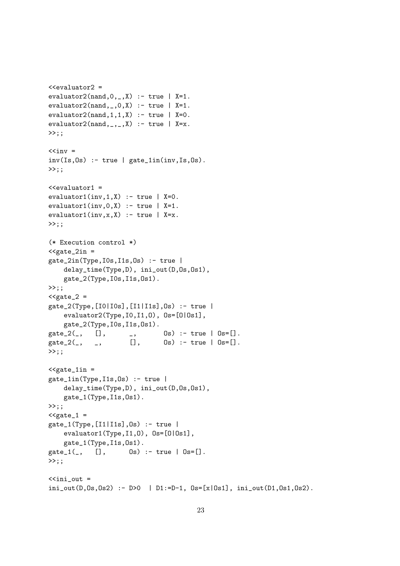```
evaluator2(nand, 0, 0, 0) :- true | X=1.
evaluator2(nand, _,0, X) :- true | X=1.
evaluator2(nand,1,1,X) :- true | X=0.
evaluator2(nand, _, _,X) :- true | X=x.
\gg;;
\langle < inv =
inv(Is,0s) :- true | gate_1in(inv,Is,Os).
>>;;
\leevaluator1 =
evaluator1(inv,1,X) :- true | X=0.
evaluator1(inv, 0, X) :- true | X=1.
evaluator1(inv, x, X) :- true | X=x.
\gg;;
(* Execution control *)
\leqgate_2in =
gate_2in(Type,I0s,I1s,Os) :- true |
     delay_time(Type,D), ini_out(D,Os,Os1),
     gate_2(Type,I0s,I1s,Os1).
>>;;
<gate_2 =
gate_2(Type,[I0|I0s],[I1|I1s],Os) :- true |
     evaluator2(Type,I0,I1,O), Os=[O|Os1],
     gate_2(Type,I0s,I1s,Os1).
gate_2(\_, \quad [], \quad \_, \quad \quad \text{Os}) \text{ :- true } | \text{Os}=[].gate_2(, _, _[],  Os) :- true | Os=[].
\rightarrow;;
\leq \leq \leq \leq \leq \leq \leq \leq \leq \leq \leq \leq \leq \leq \leq \leq \leq \leq \leq \leq \leq \leq \leq \leq \leq \leq \leq \leq \leq \leq \leq \leq \leq \leq \leq \leq \leqgate_1in(Type,I1s,Os) :- true |
     delay_time(Type,D), ini_out(D,Os,Os1),
     gate_1(Type,I1s,Os1).
>>::
\leqgate_1 =
gate_1(Type,[I1|I1s],Os) :- true |
     evaluator1(Type,I1,O), Os=[O|Os1],
    gate_1(Type,I1s,Os1).
gate_1(, [], 0s) :- true |0s=[].
>>;;
\leini_out =
ini_out(D, Os, Os2) :- D>0 | D1:=D-1, Os=[x|Os1], ini_out(D1,Os1,Os2).
```
 $\leq$ evaluator2 =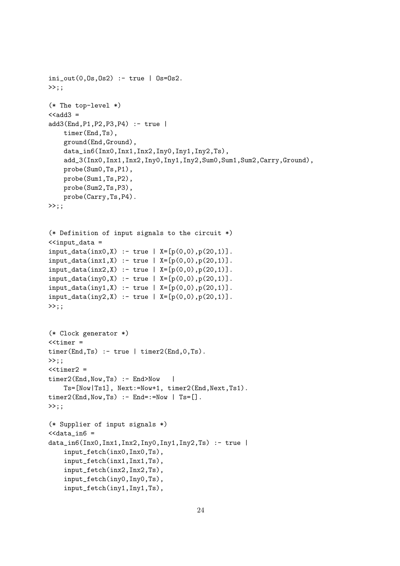```
ini_out(0,0s,0s2) :- true | 0s=0s2.
\gg;;
(* The top-level *)
<<add3 =
add3(End,P1,P2,P3,P4) :- true |
    timer(End,Ts),
    ground(End,Ground),
    data_in6(Inx0,Inx1,Inx2,Iny0,Iny1,Iny2,Ts),
    add_3(Inx0,Inx1,Inx2,Iny0,Iny1,Iny2,Sum0,Sum1,Sum2,Carry,Ground),
    probe(Sum0,Ts,P1),
    probe(Sum1,Ts,P2),
    probe(Sum2,Ts,P3),
    probe(Carry,Ts,P4).
>>;;
(* Definition of input signals to the circuit *)
\leinput_data =
input_data(inx0, X) :- true | X=[p(0,0), p(20,1)].input_data(intX) :- true | X=[p(0,0), p(20,1)].input_data(inx2,X) :- true | X=[p(0,0),p(20,1)].input_data(iny0, X) :- true | X=[p(0,0), p(20,1)].input_data(iny1, X) :- true | X=[p(0,0), p(20,1)].input_data(iny2,X) :- true | X=[p(0,0),p(20,1)].\rightarrow;;
(* Clock generator *)
<timer =
timer(End,Ts) :- true \mid timer2(End,0,Ts).
>>::
<timer2 =timer2(End, Now, Ts) :- End>Now |
    Ts=[Now|Ts1], Next:=Now+1, timer2(End,Next,Ts1).
time2(End, Now, Ts) :- End='=Now | Ts=[].>>;;
(* Supplier of input signals *)
<data_in6 =
data_info(Inx0,Inx1,Inx2,Inv0,Inv1,Inv2,Ts) :- trueinput_fetch(inx0,Inx0,Ts),
    input_fetch(inx1,Inx1,Ts),
    input_fetch(inx2,Inx2,Ts),
    input_fetch(iny0,Iny0,Ts),
    input_fetch(iny1,Iny1,Ts),
```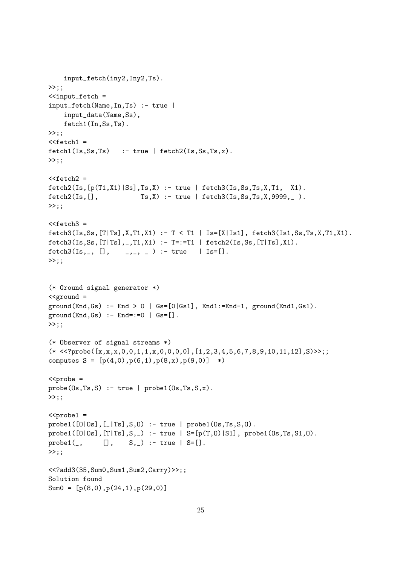```
input_fetch(iny2,Iny2,Ts).
>>;;
\leinput_fetch =
input_fetch(Name,In,Ts) :- true |
    input_data(Name,Ss),
    fetch1(In,Ss,Ts).
\gg;;
<<fetch1 =fetch1(Is, Ss, Ts) :- true | fetch2(Is, Ss, Ts, x).
>>:<<fetch2 =fetch2(Is,[p(T1,X1)|Ss],Ts,X) :- true | fetch3(Is,Ss,Ts,X,T1, X1).
fetch2(Is, [], Ts,X) :- true | fetch3(Is, Ss, Ts, X, 9999, _{\_}.
>>;;
<<fetch3 =fetch3(Is, Ss, [T|Ts], X, T1, X1) :- T < T1 | Is=[X|Is1], fetch3(Is1, Ss, Ts, X, T1, X1).
fetch3(Is, Ss, [T|Ts], ., T1, X1) :- T=:=T1 | fetch2(Is, Ss, [T|Ts], X1).
fetch3(Is, , [], \quad , \_ , \_ ) : true \ | Is=[].>>;;
(* Ground signal generator *)
\leqground =
ground(End,GS) :- End > 0 | Gs=[0|Gs1], End1:=End-1, ground(End1,Gs1).ground(End, Gs) :- End==0 | Gs=[].>>;;
(* Observer of signal streams *)
(* \leq? \text{probe}([x,x,x,0,0,1,1,x,0,0,0,0],[1,2,3,4,5,6,7,8,9,10,11,12],S) \rightarrow;;
computes S = [p(4,0),p(6,1),p(8,x),p(9,0)] *)
<probe =
probe(0s,Ts,S) :- true | probe(0s,Ts,X).\gg;;
<probe1 =
probe1([O|Os],[_|Ts],S,O) :- true | probe1(Os,Ts,S,O).
\text{probe1}([0|0s], [T|Ts], S, _{\text{}}) :- true | S=[p(T,0)|S1], \text{probe1}(0s, Ts, S1, 0).
prob(1, 1, S, 1) :- true |S=[.1, S, 1].
>>;;
<<?add3(35,Sum0,Sum1,Sum2,Carry)>>;;
Solution found
Sum0 = [p(8,0), p(24,1), p(29,0)]
```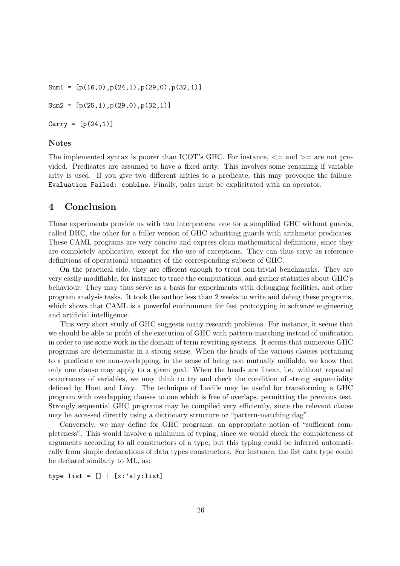Sum1 =  $[p(16,0),p(24,1),p(29,0),p(32,1)]$ Sum2 =  $[p(25,1), p(29,0), p(32,1)]$ 

 $Carry = [p(24, 1)]$ 

# Notes

The implemented syntax is poorer than ICOT's GHC. For instance,  $\leq$  and  $\geq$  are not provided. Predicates are assumed to have a fixed arity. This involves some renaming if variable arity is used. If you give two different arities to a predicate, this may provoque the failure: Evaluation Failed: combine. Finally, pairs must be explicitated with an operator.

# 4 Conclusion

These experiments provide us with two interpreters: one for a simplified GHC without guards, called DHC, the other for a fuller version of GHC admitting guards with arithmetic predicates. These CAML programs are very concise and express clean mathematical definitions, since they are completely applicative, except for the use of exceptions. They can thus serve as reference definitions of operational semantics of the corresponding subsets of GHC.

On the practical side, they are efficient enough to treat non-trivial benchmarks. They are very easily modifiable, for instance to trace the computations, and gather statistics about GHC's behaviour. They may thus serve as a basis for experiments with debugging facilities, and other program analysis tasks. It took the author less than 2 weeks to write and debug these programs, which shows that CAML is a powerful environment for fast prototyping in software engineering and artificial intelligence.

This very short study of GHC suggests many research problems. For instance, it seems that we should be able to profit of the execution of GHC with pattern-matching instead of unification in order to use some work in the domain of term rewriting systems. It seems that numerous GHC programs are deterministic in a strong sense. When the heads of the various clauses pertaining to a predicate are non-overlapping, in the sense of being non mutually unifiable, we know that only one clause may apply to a given goal. When the heads are linear, i.e. without repeated occurrences of variables, we may think to try and check the condition of strong sequentiality defined by Huet and Lévy. The technique of Laville may be useful for transforming a GHC program with overlapping clauses to one which is free of overlaps, permitting the previous test. Strongly sequential GHC programs may be compiled very efficiently, since the relevant clause may be accessed directly using a dictionary structure or "pattern-matching dag".

Conversely, we may define for GHC programs, an appropriate notion of "sufficient completeness". This would involve a minimum of typing, since we would check the completeness of arguments according to all constructors of a type, but this typing could be inferred automatically from simple declarations of data types constructors. For instance, the list data type could be declared similarly to ML, as:

type list =  $[] | [x: 'a|y:list]$